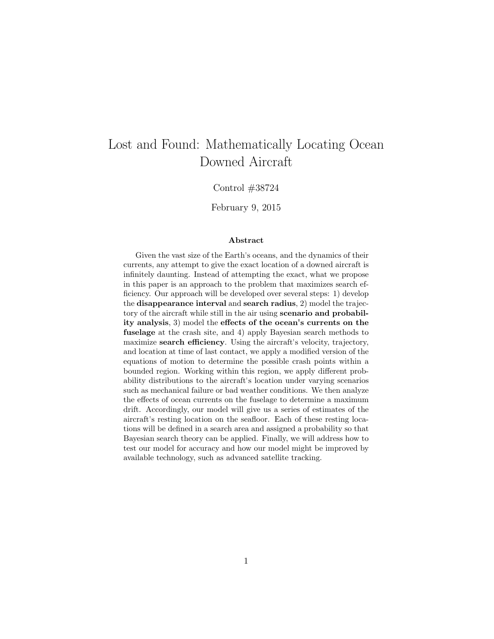# Lost and Found: Mathematically Locating Ocean Downed Aircraft

#### Control #38724

February 9, 2015

#### Abstract

Given the vast size of the Earth's oceans, and the dynamics of their currents, any attempt to give the exact location of a downed aircraft is infinitely daunting. Instead of attempting the exact, what we propose in this paper is an approach to the problem that maximizes search efficiency. Our approach will be developed over several steps: 1) develop the disappearance interval and search radius, 2) model the trajectory of the aircraft while still in the air using scenario and probability analysis, 3) model the effects of the ocean's currents on the fuselage at the crash site, and 4) apply Bayesian search methods to maximize **search efficiency**. Using the aircraft's velocity, trajectory, and location at time of last contact, we apply a modified version of the equations of motion to determine the possible crash points within a bounded region. Working within this region, we apply different probability distributions to the aircraft's location under varying scenarios such as mechanical failure or bad weather conditions. We then analyze the effects of ocean currents on the fuselage to determine a maximum drift. Accordingly, our model will give us a series of estimates of the aircraft's resting location on the seafloor. Each of these resting locations will be defined in a search area and assigned a probability so that Bayesian search theory can be applied. Finally, we will address how to test our model for accuracy and how our model might be improved by available technology, such as advanced satellite tracking.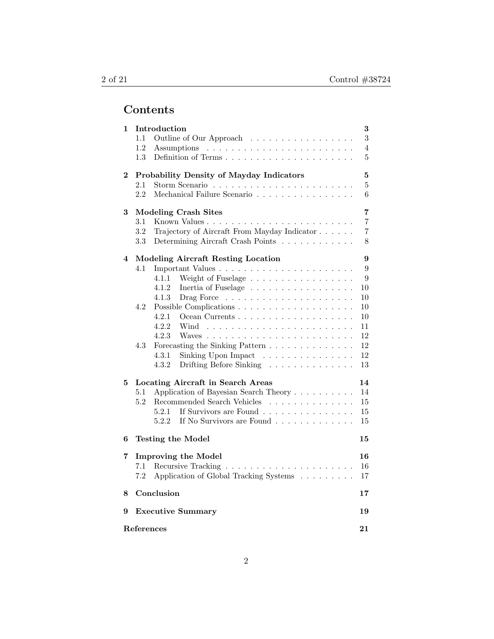## Contents

| 1                 | Introduction                                                                                                                                                                                                                                        | 3              |
|-------------------|-----------------------------------------------------------------------------------------------------------------------------------------------------------------------------------------------------------------------------------------------------|----------------|
|                   | 1.1<br>Outline of Our Approach                                                                                                                                                                                                                      | $\sqrt{3}$     |
|                   | 1.2                                                                                                                                                                                                                                                 | 4              |
|                   | $1.3\,$                                                                                                                                                                                                                                             | 5              |
| $\bf{2}$          | <b>Probability Density of Mayday Indicators</b>                                                                                                                                                                                                     | 5              |
|                   | 2.1                                                                                                                                                                                                                                                 | 5              |
|                   | 2.2<br>Mechanical Failure Scenario                                                                                                                                                                                                                  | 6              |
| 3                 | <b>Modeling Crash Sites</b>                                                                                                                                                                                                                         | 7              |
|                   | 3.1                                                                                                                                                                                                                                                 | 7              |
|                   | Trajectory of Aircraft From Mayday Indicator<br>3.2                                                                                                                                                                                                 | $\overline{7}$ |
|                   | Determining Aircraft Crash Points<br>3.3                                                                                                                                                                                                            | 8              |
| $\overline{4}$    | <b>Modeling Aircraft Resting Location</b>                                                                                                                                                                                                           | 9              |
|                   | 4.1                                                                                                                                                                                                                                                 | 9              |
|                   | 4.1.1<br>Weight of Fuselage $\dots \dots \dots \dots \dots \dots$                                                                                                                                                                                   | 9              |
|                   | 4.1.2<br>Inertia of Fuselage $\ldots \ldots \ldots \ldots \ldots \ldots$                                                                                                                                                                            | 10             |
|                   | 4.1.3                                                                                                                                                                                                                                               | 10             |
|                   | 4.2                                                                                                                                                                                                                                                 | 10             |
|                   | 4.2.1                                                                                                                                                                                                                                               | 10             |
|                   | 4.2.2<br>Wind<br>$\mathcal{A}$ , and a set of the set of the set of the set of the set of the set of the set of the set of the set of the set of the set of the set of the set of the set of the set of the set of the set of the set of the set of | 11             |
|                   | 4.2.3                                                                                                                                                                                                                                               | 12             |
|                   | Forecasting the Sinking Pattern<br>4.3                                                                                                                                                                                                              | 12             |
|                   | 4.3.1<br>Sinking Upon Impact                                                                                                                                                                                                                        | 12             |
|                   | 4.3.2<br>Drifting Before Sinking $\ldots \ldots \ldots \ldots \ldots$                                                                                                                                                                               | 13             |
| 5                 | <b>Locating Aircraft in Search Areas</b>                                                                                                                                                                                                            | 14             |
|                   | Application of Bayesian Search Theory<br>5.1                                                                                                                                                                                                        | 14             |
|                   | 5.2<br>Recommended Search Vehicles                                                                                                                                                                                                                  | 15             |
|                   | If Survivors are Found<br>5.2.1                                                                                                                                                                                                                     | 15             |
|                   | 5.2.2<br>If No Survivors are Found $\ldots \ldots \ldots \ldots$                                                                                                                                                                                    | 15             |
| 6                 | <b>Testing the Model</b>                                                                                                                                                                                                                            | 15             |
| 7                 | <b>Improving the Model</b>                                                                                                                                                                                                                          | 16             |
|                   | 7.1                                                                                                                                                                                                                                                 | 16             |
|                   | Application of Global Tracking Systems<br>7.2                                                                                                                                                                                                       | 17             |
| 8                 | Conclusion                                                                                                                                                                                                                                          | 17             |
| 9                 | <b>Executive Summary</b>                                                                                                                                                                                                                            | 19             |
| <b>References</b> |                                                                                                                                                                                                                                                     |                |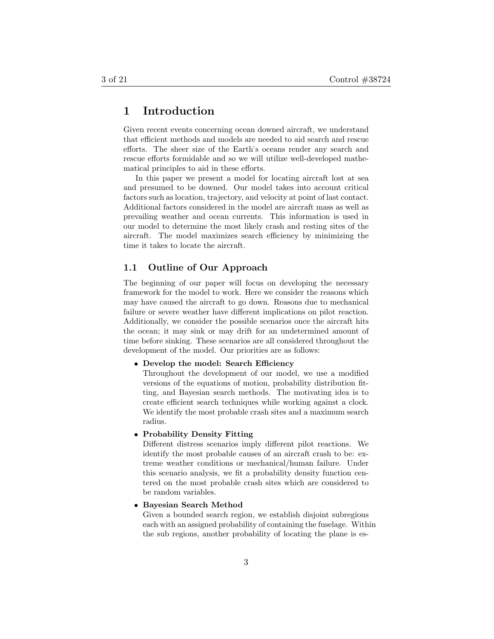## 1 Introduction

Given recent events concerning ocean downed aircraft, we understand that efficient methods and models are needed to aid search and rescue efforts. The sheer size of the Earth's oceans render any search and rescue efforts formidable and so we will utilize well-developed mathematical principles to aid in these efforts.

In this paper we present a model for locating aircraft lost at sea and presumed to be downed. Our model takes into account critical factors such as location, trajectory, and velocity at point of last contact. Additional factors considered in the model are aircraft mass as well as prevailing weather and ocean currents. This information is used in our model to determine the most likely crash and resting sites of the aircraft. The model maximizes search efficiency by minimizing the time it takes to locate the aircraft.

#### 1.1 Outline of Our Approach

The beginning of our paper will focus on developing the necessary framework for the model to work. Here we consider the reasons which may have caused the aircraft to go down. Reasons due to mechanical failure or severe weather have different implications on pilot reaction. Additionally, we consider the possible scenarios once the aircraft hits the ocean; it may sink or may drift for an undetermined amount of time before sinking. These scenarios are all considered throughout the development of the model. Our priorities are as follows:

## Develop the model: Search Efficiency

Throughout the development of our model, we use a modified versions of the equations of motion, probability distribution fitting, and Bayesian search methods. The motivating idea is to create efficient search techniques while working against a clock. We identify the most probable crash sites and a maximum search radius.

## Probability Density Fitting

Different distress scenarios imply different pilot reactions. We identify the most probable causes of an aircraft crash to be: extreme weather conditions or mechanical/human failure. Under this scenario analysis, we fit a probability density function centered on the most probable crash sites which are considered to be random variables.

## Bayesian Search Method

Given a bounded search region, we establish disjoint subregions each with an assigned probability of containing the fuselage. Within the sub regions, another probability of locating the plane is es-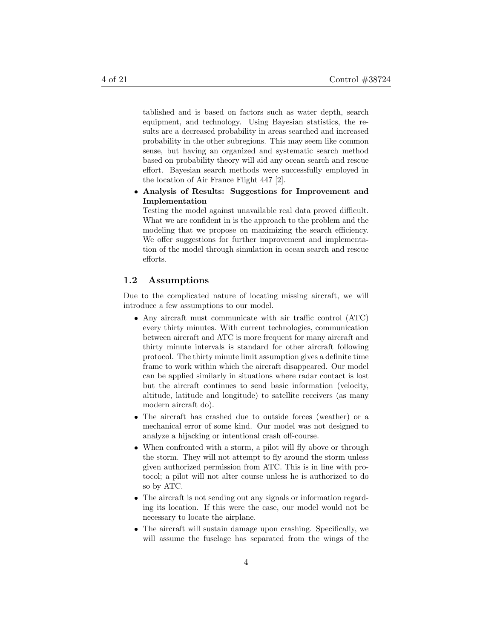tablished and is based on factors such as water depth, search equipment, and technology. Using Bayesian statistics, the results are a decreased probability in areas searched and increased probability in the other subregions. This may seem like common sense, but having an organized and systematic search method based on probability theory will aid any ocean search and rescue effort. Bayesian search methods were successfully employed in the location of Air France Flight 447 [2].

 Analysis of Results: Suggestions for Improvement and Implementation

Testing the model against unavailable real data proved difficult. What we are confident in is the approach to the problem and the modeling that we propose on maximizing the search efficiency. We offer suggestions for further improvement and implementation of the model through simulation in ocean search and rescue efforts.

#### 1.2 Assumptions

Due to the complicated nature of locating missing aircraft, we will introduce a few assumptions to our model.

- Any aircraft must communicate with air traffic control (ATC) every thirty minutes. With current technologies, communication between aircraft and ATC is more frequent for many aircraft and thirty minute intervals is standard for other aircraft following protocol. The thirty minute limit assumption gives a definite time frame to work within which the aircraft disappeared. Our model can be applied similarly in situations where radar contact is lost but the aircraft continues to send basic information (velocity, altitude, latitude and longitude) to satellite receivers (as many modern aircraft do).
- The aircraft has crashed due to outside forces (weather) or a mechanical error of some kind. Our model was not designed to analyze a hijacking or intentional crash off-course.
- When confronted with a storm, a pilot will fly above or through the storm. They will not attempt to fly around the storm unless given authorized permission from ATC. This is in line with protocol; a pilot will not alter course unless he is authorized to do so by ATC.
- The aircraft is not sending out any signals or information regarding its location. If this were the case, our model would not be necessary to locate the airplane.
- The aircraft will sustain damage upon crashing. Specifically, we will assume the fuselage has separated from the wings of the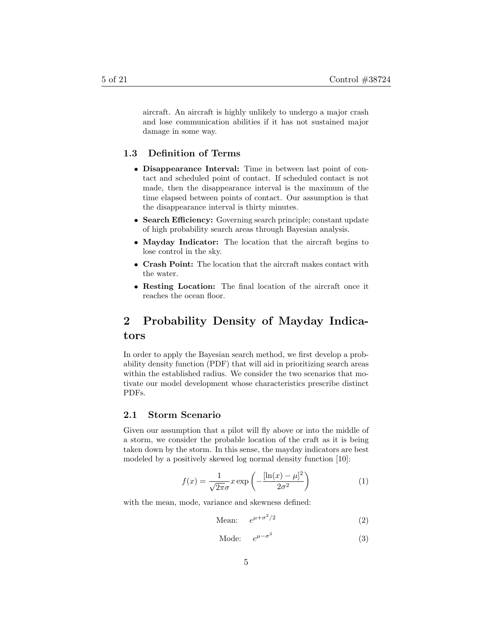aircraft. An aircraft is highly unlikely to undergo a major crash and lose communication abilities if it has not sustained major damage in some way.

#### 1.3 Definition of Terms

- Disappearance Interval: Time in between last point of contact and scheduled point of contact. If scheduled contact is not made, then the disappearance interval is the maximum of the time elapsed between points of contact. Our assumption is that the disappearance interval is thirty minutes.
- Search Efficiency: Governing search principle; constant update of high probability search areas through Bayesian analysis.
- Mayday Indicator: The location that the aircraft begins to lose control in the sky.
- Crash Point: The location that the aircraft makes contact with the water.
- Resting Location: The final location of the aircraft once it reaches the ocean floor.

## 2 Probability Density of Mayday Indicators

In order to apply the Bayesian search method, we first develop a probability density function (PDF) that will aid in prioritizing search areas within the established radius. We consider the two scenarios that motivate our model development whose characteristics prescribe distinct PDFs.

#### 2.1 Storm Scenario

Given our assumption that a pilot will fly above or into the middle of a storm, we consider the probable location of the craft as it is being taken down by the storm. In this sense, the mayday indicators are best modeled by a positively skewed log normal density function [10]:

$$
f(x) = \frac{1}{\sqrt{2\pi}\sigma} x \exp\left(-\frac{[\ln(x) - \mu]^2}{2\sigma^2}\right)
$$
 (1)

with the mean, mode, variance and skewness defined:

Mean: 
$$
e^{\mu + \sigma^2/2}
$$
 (2)

$$
Mode: \t e^{\mu - \sigma^2} \t\t(3)
$$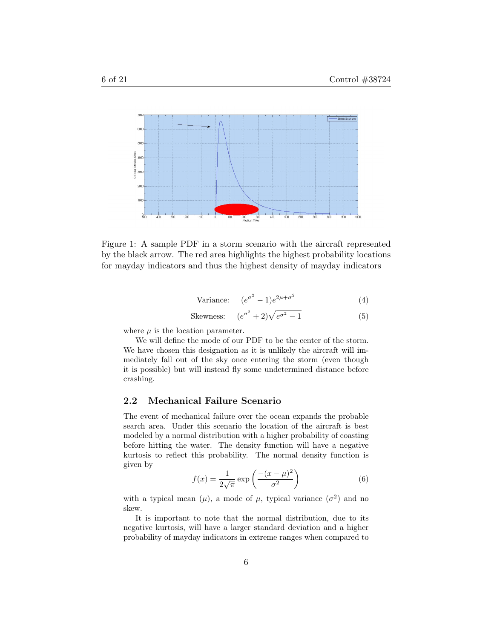

Figure 1: A sample PDF in a storm scenario with the aircraft represented by the black arrow. The red area highlights the highest probability locations for mayday indicators and thus the highest density of mayday indicators

Variance: 
$$
(e^{\sigma^2} - 1)e^{2\mu + \sigma^2}
$$
 (4)

Skewness: 
$$
(e^{\sigma^2} + 2)\sqrt{e^{\sigma^2} - 1}
$$
 (5)

where  $\mu$  is the location parameter.

We will define the mode of our PDF to be the center of the storm. We have chosen this designation as it is unlikely the aircraft will immediately fall out of the sky once entering the storm (even though it is possible) but will instead fly some undetermined distance before crashing.

### 2.2 Mechanical Failure Scenario

The event of mechanical failure over the ocean expands the probable search area. Under this scenario the location of the aircraft is best modeled by a normal distribution with a higher probability of coasting before hitting the water. The density function will have a negative kurtosis to reflect this probability. The normal density function is given by

$$
f(x) = \frac{1}{2\sqrt{\pi}} \exp\left(\frac{-(x-\mu)^2}{\sigma^2}\right) \tag{6}
$$

with a typical mean  $(\mu)$ , a mode of  $\mu$ , typical variance  $(\sigma^2)$  and no skew.

It is important to note that the normal distribution, due to its negative kurtosis, will have a larger standard deviation and a higher probability of mayday indicators in extreme ranges when compared to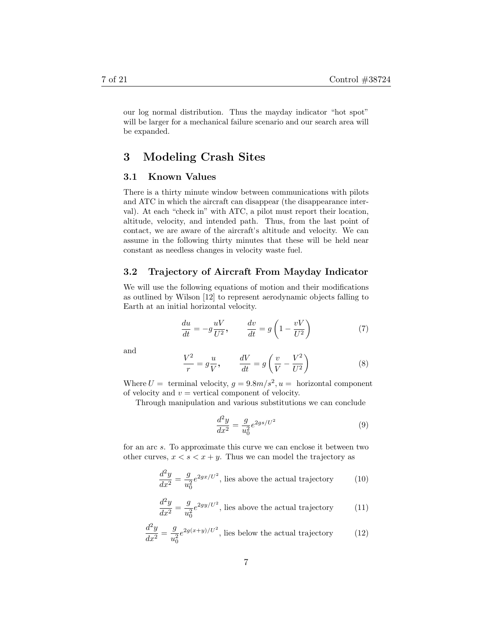our log normal distribution. Thus the mayday indicator "hot spot" will be larger for a mechanical failure scenario and our search area will be expanded.

## 3 Modeling Crash Sites

#### 3.1 Known Values

There is a thirty minute window between communications with pilots and ATC in which the aircraft can disappear (the disappearance interval). At each "check in" with ATC, a pilot must report their location, altitude, velocity, and intended path. Thus, from the last point of contact, we are aware of the aircraft's altitude and velocity. We can assume in the following thirty minutes that these will be held near constant as needless changes in velocity waste fuel.

#### 3.2 Trajectory of Aircraft From Mayday Indicator

We will use the following equations of motion and their modifications as outlined by Wilson [12] to represent aerodynamic objects falling to Earth at an initial horizontal velocity.

$$
\frac{du}{dt} = -g\frac{uV}{U^2}, \qquad \frac{dv}{dt} = g\left(1 - \frac{vV}{U^2}\right) \tag{7}
$$

and

$$
\frac{V^2}{r} = g\frac{u}{V}, \qquad \frac{dV}{dt} = g\left(\frac{v}{V} - \frac{V^2}{U^2}\right)
$$
 (8)

Where  $U =$  terminal velocity,  $g = 9.8m/s^2, u =$  horizontal component of velocity and  $v =$  vertical component of velocity.

Through manipulation and various substitutions we can conclude

$$
\frac{d^2y}{dx^2} = \frac{g}{u_0^2} e^{2gs/U^2}
$$
 (9)

for an arc s. To approximate this curve we can enclose it between two other curves,  $x < s < x + y$ . Thus we can model the trajectory as

$$
\frac{d^2y}{dx^2} = \frac{g}{u_0^2} e^{2gx/U^2}
$$
, lies above the actual trajectory (10)

$$
\frac{d^2y}{dx^2} = \frac{g}{u_0^2} e^{2gy/U^2}
$$
, lies above the actual trajectory (11)

$$
\frac{d^2y}{dx^2} = \frac{g}{u_0^2} e^{2g(x+y)/U^2}
$$
, lies below the actual trajectory (12)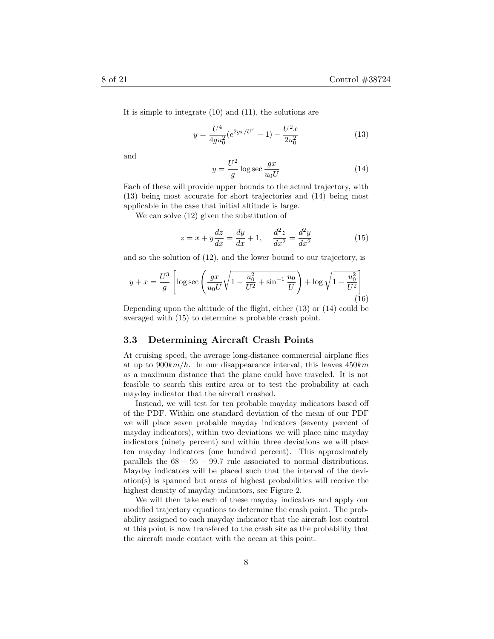It is simple to integrate (10) and (11), the solutions are

$$
y = \frac{U^4}{4g u_0^2} (e^{2gx/U^2} - 1) - \frac{U^2 x}{2u_0^2}
$$
 (13)

and

$$
y = \frac{U^2}{g} \log \sec \frac{gx}{u_0 U} \tag{14}
$$

Each of these will provide upper bounds to the actual trajectory, with (13) being most accurate for short trajectories and (14) being most applicable in the case that initial altitude is large.

We can solve (12) given the substitution of

$$
z = x + y\frac{dz}{dx} = \frac{dy}{dx} + 1, \quad \frac{d^2z}{dx^2} = \frac{d^2y}{dx^2}
$$
(15)

and so the solution of (12), and the lower bound to our trajectory, is

$$
y + x = \frac{U^3}{g} \left[ \log \sec \left( \frac{gx}{u_0 U} \sqrt{1 - \frac{u_0^2}{U^2} + \sin^{-1} \frac{u_0}{U}} \right) + \log \sqrt{1 - \frac{u_0^2}{U^2}} \right]
$$
(16)

Depending upon the altitude of the flight, either (13) or (14) could be averaged with (15) to determine a probable crash point.

#### 3.3 Determining Aircraft Crash Points

At cruising speed, the average long-distance commercial airplane flies at up to  $900km/h$ . In our disappearance interval, this leaves  $450km$ as a maximum distance that the plane could have traveled. It is not feasible to search this entire area or to test the probability at each mayday indicator that the aircraft crashed.

Instead, we will test for ten probable mayday indicators based off of the PDF. Within one standard deviation of the mean of our PDF we will place seven probable mayday indicators (seventy percent of mayday indicators), within two deviations we will place nine mayday indicators (ninety percent) and within three deviations we will place ten mayday indicators (one hundred percent). This approximately parallels the  $68 - 95 - 99.7$  rule associated to normal distributions. Mayday indicators will be placed such that the interval of the deviation(s) is spanned but areas of highest probabilities will receive the highest density of mayday indicators, see Figure 2.

We will then take each of these mayday indicators and apply our modified trajectory equations to determine the crash point. The probability assigned to each mayday indicator that the aircraft lost control at this point is now transfered to the crash site as the probability that the aircraft made contact with the ocean at this point.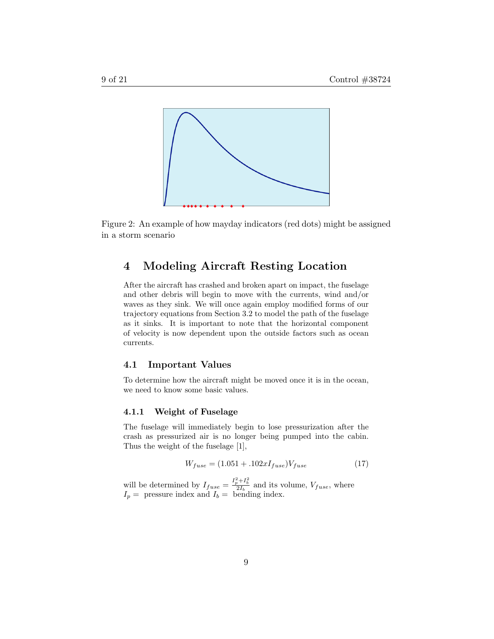

Figure 2: An example of how mayday indicators (red dots) might be assigned in a storm scenario

## 4 Modeling Aircraft Resting Location

After the aircraft has crashed and broken apart on impact, the fuselage and other debris will begin to move with the currents, wind and/or waves as they sink. We will once again employ modified forms of our trajectory equations from Section 3.2 to model the path of the fuselage as it sinks. It is important to note that the horizontal component of velocity is now dependent upon the outside factors such as ocean currents.

### 4.1 Important Values

To determine how the aircraft might be moved once it is in the ocean, we need to know some basic values.

#### 4.1.1 Weight of Fuselage

The fuselage will immediately begin to lose pressurization after the crash as pressurized air is no longer being pumped into the cabin. Thus the weight of the fuselage [1],

$$
W_{fuse} = (1.051 + .102xI_{fuse})V_{fuse}
$$
 (17)

will be determined by  $I_{fuse} = \frac{I_p^2 + I_b^2}{2I_b}$  and its volume,  $V_{fuse}$ , where  $I_p =$  pressure index and  $I_b =$  bending index.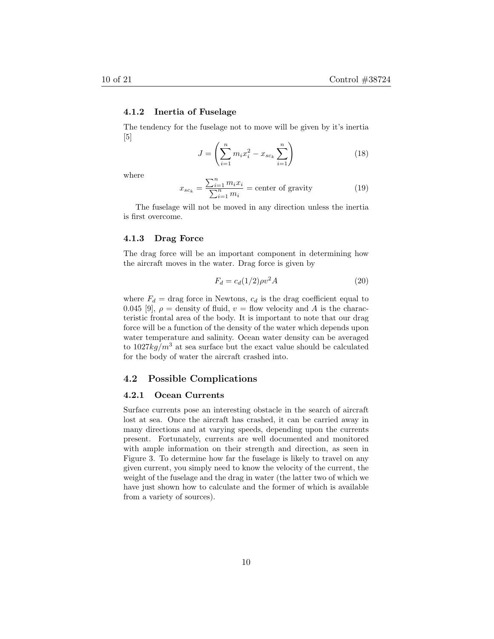#### 4.1.2 Inertia of Fuselage

The tendency for the fuselage not to move will be given by it's inertia [5]

$$
J = \left(\sum_{i=1}^{n} m_i x_i^2 - x_{sc_k} \sum_{i=1}^{n} \right)
$$
 (18)

where

$$
x_{sc_k} = \frac{\sum_{i=1}^{n} m_i x_i}{\sum_{i=1}^{n} m_i} = \text{center of gravity}
$$
 (19)

The fuselage will not be moved in any direction unless the inertia is first overcome.

#### 4.1.3 Drag Force

The drag force will be an important component in determining how the aircraft moves in the water. Drag force is given by

$$
F_d = c_d (1/2) \rho v^2 A \tag{20}
$$

where  $F_d$  = drag force in Newtons,  $c_d$  is the drag coefficient equal to 0.045 [9],  $\rho =$  density of fluid,  $v =$  flow velocity and A is the characteristic frontal area of the body. It is important to note that our drag force will be a function of the density of the water which depends upon water temperature and salinity. Ocean water density can be averaged to  $1027kg/m<sup>3</sup>$  at sea surface but the exact value should be calculated for the body of water the aircraft crashed into.

#### 4.2 Possible Complications

#### 4.2.1 Ocean Currents

Surface currents pose an interesting obstacle in the search of aircraft lost at sea. Once the aircraft has crashed, it can be carried away in many directions and at varying speeds, depending upon the currents present. Fortunately, currents are well documented and monitored with ample information on their strength and direction, as seen in Figure 3. To determine how far the fuselage is likely to travel on any given current, you simply need to know the velocity of the current, the weight of the fuselage and the drag in water (the latter two of which we have just shown how to calculate and the former of which is available from a variety of sources).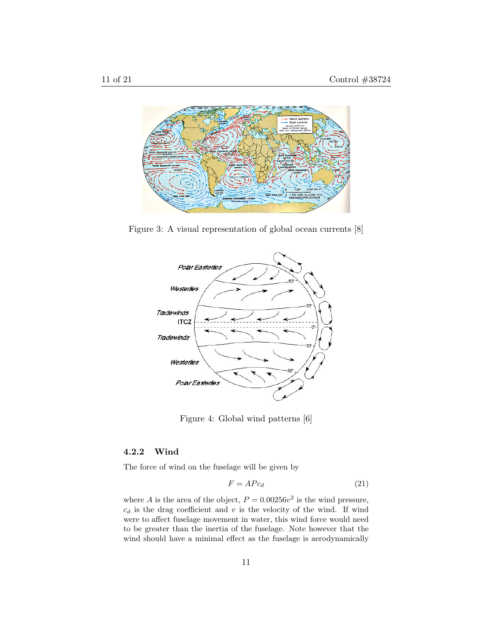

Figure 3: A visual representation of global ocean currents [8]



Figure 4: Global wind patterns [6]

### 4.2.2 Wind

The force of wind on the fuselage will be given by

$$
F = APc_d \tag{21}
$$

where A is the area of the object,  $P = 0.00256v^2$  is the wind pressure,  $c_d$  is the drag coefficient and v is the velocity of the wind. If wind were to affect fuselage movement in water, this wind force would need to be greater than the inertia of the fuselage. Note however that the wind should have a minimal effect as the fuselage is aerodynamically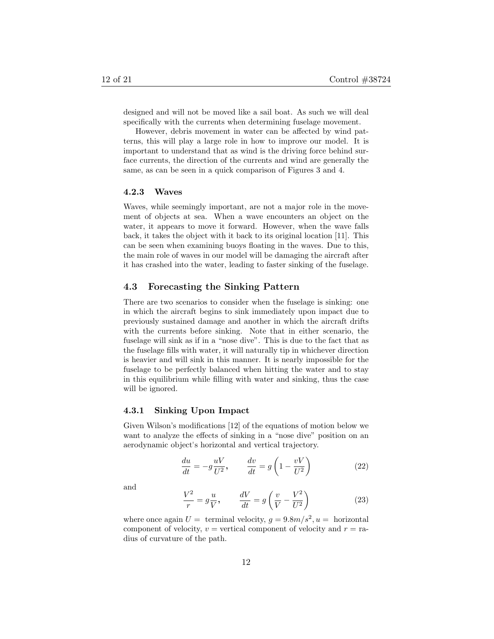designed and will not be moved like a sail boat. As such we will deal specifically with the currents when determining fuselage movement.

However, debris movement in water can be affected by wind patterns, this will play a large role in how to improve our model. It is important to understand that as wind is the driving force behind surface currents, the direction of the currents and wind are generally the same, as can be seen in a quick comparison of Figures 3 and 4.

#### 4.2.3 Waves

Waves, while seemingly important, are not a major role in the movement of objects at sea. When a wave encounters an object on the water, it appears to move it forward. However, when the wave falls back, it takes the object with it back to its original location [11]. This can be seen when examining buoys floating in the waves. Due to this, the main role of waves in our model will be damaging the aircraft after it has crashed into the water, leading to faster sinking of the fuselage.

#### 4.3 Forecasting the Sinking Pattern

There are two scenarios to consider when the fuselage is sinking: one in which the aircraft begins to sink immediately upon impact due to previously sustained damage and another in which the aircraft drifts with the currents before sinking. Note that in either scenario, the fuselage will sink as if in a "nose dive". This is due to the fact that as the fuselage fills with water, it will naturally tip in whichever direction is heavier and will sink in this manner. It is nearly impossible for the fuselage to be perfectly balanced when hitting the water and to stay in this equilibrium while filling with water and sinking, thus the case will be ignored.

#### 4.3.1 Sinking Upon Impact

Given Wilson's modifications [12] of the equations of motion below we want to analyze the effects of sinking in a "nose dive" position on an aerodynamic object's horizontal and vertical trajectory.

$$
\frac{du}{dt} = -g\frac{uV}{U^2}, \qquad \frac{dv}{dt} = g\left(1 - \frac{vV}{U^2}\right)
$$
 (22)

and

$$
\frac{V^2}{r} = g\frac{u}{V}, \qquad \frac{dV}{dt} = g\left(\frac{v}{V} - \frac{V^2}{U^2}\right)
$$
 (23)

where once again  $U =$  terminal velocity,  $g = 9.8m/s^2, u =$  horizontal component of velocity,  $v =$  vertical component of velocity and  $r =$  radius of curvature of the path.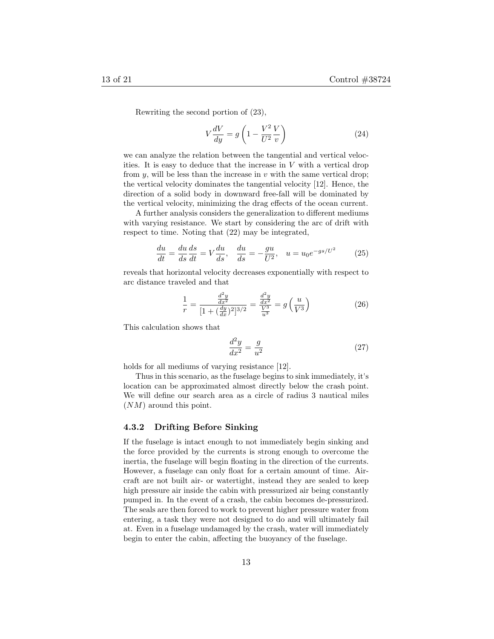Rewriting the second portion of (23),

$$
V\frac{dV}{dy} = g\left(1 - \frac{V^2}{U^2}\frac{V}{v}\right) \tag{24}
$$

we can analyze the relation between the tangential and vertical velocities. It is easy to deduce that the increase in  $V$  with a vertical drop from y, will be less than the increase in  $v$  with the same vertical drop; the vertical velocity dominates the tangential velocity [12]. Hence, the direction of a solid body in downward free-fall will be dominated by the vertical velocity, minimizing the drag effects of the ocean current.

A further analysis considers the generalization to different mediums with varying resistance. We start by considering the arc of drift with respect to time. Noting that (22) may be integrated,

$$
\frac{du}{dt} = \frac{du}{ds}\frac{ds}{dt} = V\frac{du}{ds}, \quad \frac{du}{ds} = -\frac{gu}{U^2}, \quad u = u_0 e^{-gs/U^2} \tag{25}
$$

reveals that horizontal velocity decreases exponentially with respect to arc distance traveled and that

$$
\frac{1}{r} = \frac{\frac{d^2y}{dx^2}}{[1 + (\frac{dy}{dx})^2]^{3/2}} = \frac{\frac{d^2y}{dx^2}}{\frac{V^3}{u^3}} = g\left(\frac{u}{V^3}\right)
$$
\n(26)

This calculation shows that

$$
\frac{d^2y}{dx^2} = \frac{g}{u^2} \tag{27}
$$

holds for all mediums of varying resistance [12].

Thus in this scenario, as the fuselage begins to sink immediately, it's location can be approximated almost directly below the crash point. We will define our search area as a circle of radius 3 nautical miles  $(NM)$  around this point.

#### 4.3.2 Drifting Before Sinking

If the fuselage is intact enough to not immediately begin sinking and the force provided by the currents is strong enough to overcome the inertia, the fuselage will begin floating in the direction of the currents. However, a fuselage can only float for a certain amount of time. Aircraft are not built air- or watertight, instead they are sealed to keep high pressure air inside the cabin with pressurized air being constantly pumped in. In the event of a crash, the cabin becomes de-pressurized. The seals are then forced to work to prevent higher pressure water from entering, a task they were not designed to do and will ultimately fail at. Even in a fuselage undamaged by the crash, water will immediately begin to enter the cabin, affecting the buoyancy of the fuselage.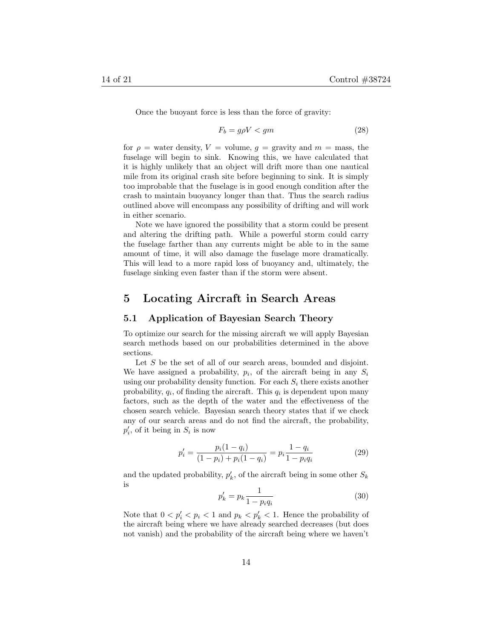Once the buoyant force is less than the force of gravity:

$$
F_b = g\rho V < gm \tag{28}
$$

for  $\rho =$  water density,  $V =$  volume,  $g =$  gravity and  $m =$  mass, the fuselage will begin to sink. Knowing this, we have calculated that it is highly unlikely that an object will drift more than one nautical mile from its original crash site before beginning to sink. It is simply too improbable that the fuselage is in good enough condition after the crash to maintain buoyancy longer than that. Thus the search radius outlined above will encompass any possibility of drifting and will work in either scenario.

Note we have ignored the possibility that a storm could be present and altering the drifting path. While a powerful storm could carry the fuselage farther than any currents might be able to in the same amount of time, it will also damage the fuselage more dramatically. This will lead to a more rapid loss of buoyancy and, ultimately, the fuselage sinking even faster than if the storm were absent.

### 5 Locating Aircraft in Search Areas

#### 5.1 Application of Bayesian Search Theory

To optimize our search for the missing aircraft we will apply Bayesian search methods based on our probabilities determined in the above sections.

Let S be the set of all of our search areas, bounded and disjoint. We have assigned a probability,  $p_i$ , of the aircraft being in any  $S_i$ using our probability density function. For each  $S_i$  there exists another probability,  $q_i$ , of finding the aircraft. This  $q_i$  is dependent upon many factors, such as the depth of the water and the effectiveness of the chosen search vehicle. Bayesian search theory states that if we check any of our search areas and do not find the aircraft, the probability,  $p'_i$ , of it being in  $S_i$  is now

$$
p_i' = \frac{p_i(1 - q_i)}{(1 - p_i) + p_i(1 - q_i)} = p_i \frac{1 - q_i}{1 - p_i q_i}
$$
(29)

and the updated probability,  $p'_k$ , of the aircraft being in some other  $S_k$ is

$$
p'_k = p_k \frac{1}{1 - p_i q_i} \tag{30}
$$

Note that  $0 < p'_i < p_i < 1$  and  $p_k < p'_k < 1$ . Hence the probability of the aircraft being where we have already searched decreases (but does not vanish) and the probability of the aircraft being where we haven't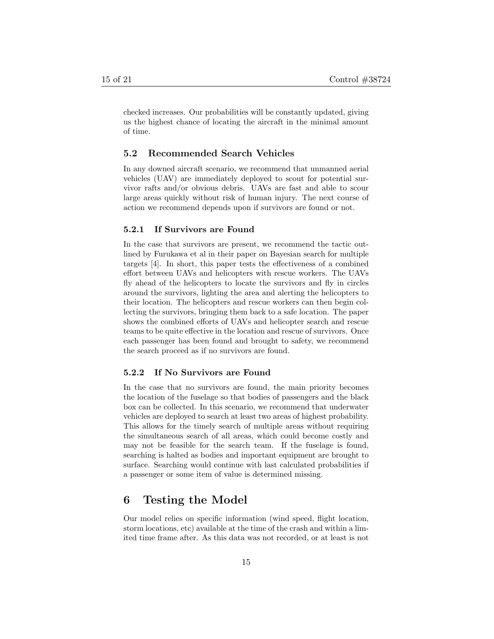checked increases. Our probabilities will be constantly updated, giving us the highest chance of locating the aircraft in the minimal amount of time.

### 5.2 Recommended Search Vehicles

In any downed aircraft scenario, we recommend that unmanned aerial vehicles (UAV) are immediately deployed to scout for potential survivor rafts and/or obvious debris. UAVs are fast and able to scour large areas quickly without risk of human injury. The next course of action we recommend depends upon if survivors are found or not.

#### 5.2.1 If Survivors are Found

In the case that survivors are present, we recommend the tactic outlined by Furukawa et al in their paper on Bayesian search for multiple targets [4]. In short, this paper tests the effectiveness of a combined effort between UAVs and helicopters with rescue workers. The UAVs fly ahead of the helicopters to locate the survivors and fly in circles around the survivors, lighting the area and alerting the helicopters to their location. The helicopters and rescue workers can then begin collecting the survivors, bringing them back to a safe location. The paper shows the combined efforts of UAVs and helicopter search and rescue teams to be quite effective in the location and rescue of survivors. Once each passenger has been found and brought to safety, we recommend the search proceed as if no survivors are found.

#### 5.2.2 If No Survivors are Found

In the case that no survivors are found, the main priority becomes the location of the fuselage so that bodies of passengers and the black box can be collected. In this scenario, we recommend that underwater vehicles are deployed to search at least two areas of highest probability. This allows for the timely search of multiple areas without requiring the simultaneous search of all areas, which could become costly and may not be feasible for the search team. If the fuselage is found, searching is halted as bodies and important equipment are brought to surface. Searching would continue with last calculated probabilities if a passenger or some item of value is determined missing.

## 6 Testing the Model

Our model relies on specific information (wind speed, flight location, storm locations, etc) available at the time of the crash and within a limited time frame after. As this data was not recorded, or at least is not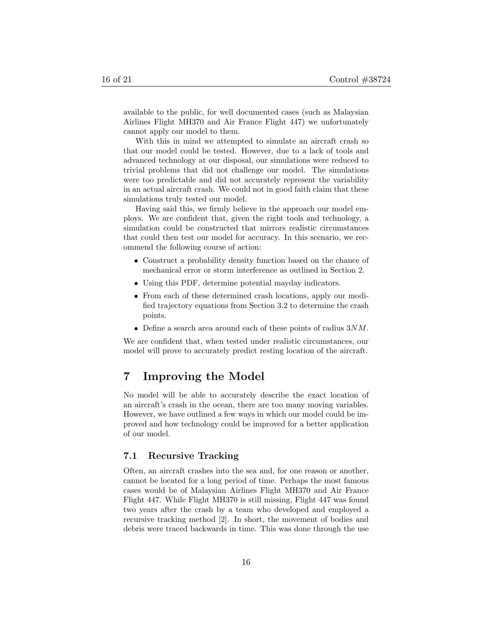available to the public, for well documented cases (such as Malaysian Airlines Flight MH370 and Air France Flight 447) we unfortunately cannot apply our model to them.

With this in mind we attempted to simulate an aircraft crash so that our model could be tested. However, due to a lack of tools and advanced technology at our disposal, our simulations were reduced to trivial problems that did not challenge our model. The simulations were too predictable and did not accurately represent the variability in an actual aircraft crash. We could not in good faith claim that these simulations truly tested our model.

Having said this, we firmly believe in the approach our model employs. We are confident that, given the right tools and technology, a simulation could be constructed that mirrors realistic circumstances that could then test our model for accuracy. In this scenario, we recommend the following course of action:

- Construct a probability density function based on the chance of mechanical error or storm interference as outlined in Section 2.
- Using this PDF, determine potential mayday indicators.
- From each of these determined crash locations, apply our modified trajectory equations from Section 3.2 to determine the crash points.
- $\bullet$  Define a search area around each of these points of radius  $3NM$ .

We are confident that, when tested under realistic circumstances, our model will prove to accurately predict resting location of the aircraft.

## 7 Improving the Model

No model will be able to accurately describe the exact location of an aircraft's crash in the ocean, there are too many moving variables. However, we have outlined a few ways in which our model could be improved and how technology could be improved for a better application of our model.

#### 7.1 Recursive Tracking

Often, an aircraft crashes into the sea and, for one reason or another, cannot be located for a long period of time. Perhaps the most famous cases would be of Malaysian Airlines Flight MH370 and Air France Flight 447. While Flight MH370 is still missing, Flight 447 was found two years after the crash by a team who developed and employed a recursive tracking method [2]. In short, the movement of bodies and debris were traced backwards in time. This was done through the use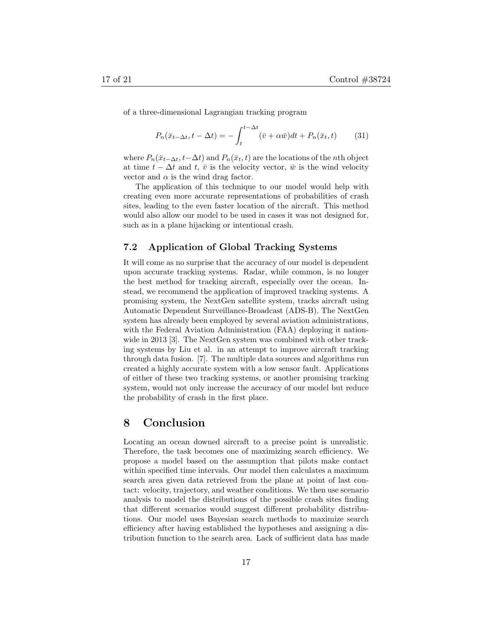of a three-dimensional Lagrangian tracking program

$$
P_n(\bar{x}_{t-\Delta t}, t - \Delta t) = -\int_t^{t-\Delta t} (\bar{v} + \alpha \bar{w}) dt + P_n(\bar{x}_t, t)
$$
(31)

where  $P_n(\bar{x}_{t-\Delta t}, t-\Delta t)$  and  $P_n(\bar{x}_t, t)$  are the locations of the *n*th object at time  $t - \Delta t$  and  $t$ ,  $\bar{v}$  is the velocity vector,  $\bar{w}$  is the wind velocity vector and  $\alpha$  is the wind drag factor.

The application of this technique to our model would help with creating even more accurate representations of probabilities of crash sites, leading to the even faster location of the aircraft. This method would also allow our model to be used in cases it was not designed for, such as in a plane hijacking or intentional crash.

#### 7.2 Application of Global Tracking Systems

It will come as no surprise that the accuracy of our model is dependent upon accurate tracking systems. Radar, while common, is no longer the best method for tracking aircraft, especially over the ocean. Instead, we recommend the application of improved tracking systems. A promising system, the NextGen satellite system, tracks aircraft using Automatic Dependent Surveillance-Broadcast (ADS-B). The NextGen system has already been employed by several aviation administrations, with the Federal Aviation Administration (FAA) deploying it nationwide in 2013 [3]. The NextGen system was combined with other tracking systems by Liu et al. in an attempt to improve aircraft tracking through data fusion. [7]. The multiple data sources and algorithms run created a highly accurate system with a low sensor fault. Applications of either of these two tracking systems, or another promising tracking system, would not only increase the accuracy of our model but reduce the probability of crash in the first place.

## 8 Conclusion

Locating an ocean downed aircraft to a precise point is unrealistic. Therefore, the task becomes one of maximizing search efficiency. We propose a model based on the assumption that pilots make contact within specified time intervals. Our model then calculates a maximum search area given data retrieved from the plane at point of last contact: velocity, trajectory, and weather conditions. We then use scenario analysis to model the distributions of the possible crash sites finding that different scenarios would suggest different probability distributions. Our model uses Bayesian search methods to maximize search efficiency after having established the hypotheses and assigning a distribution function to the search area. Lack of sufficient data has made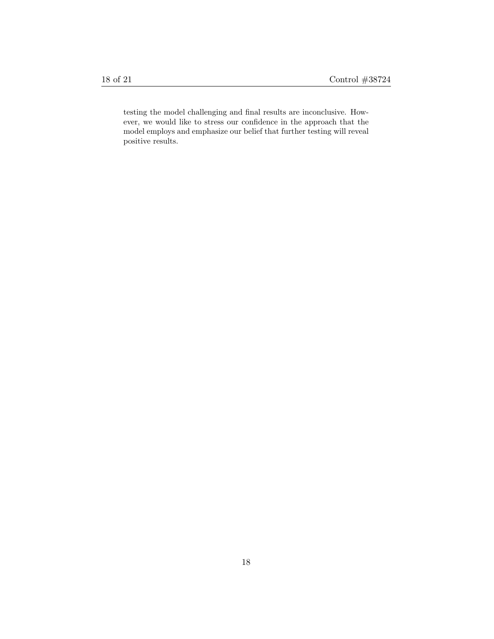testing the model challenging and final results are inconclusive. However, we would like to stress our confidence in the approach that the model employs and emphasize our belief that further testing will reveal positive results.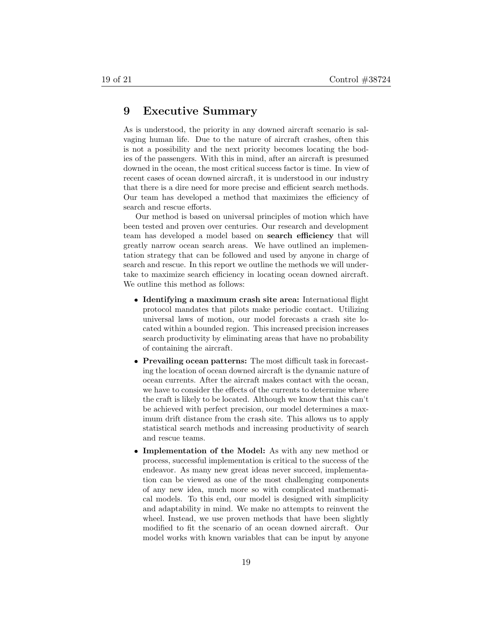### 9 Executive Summary

As is understood, the priority in any downed aircraft scenario is salvaging human life. Due to the nature of aircraft crashes, often this is not a possibility and the next priority becomes locating the bodies of the passengers. With this in mind, after an aircraft is presumed downed in the ocean, the most critical success factor is time. In view of recent cases of ocean downed aircraft, it is understood in our industry that there is a dire need for more precise and efficient search methods. Our team has developed a method that maximizes the efficiency of search and rescue efforts.

Our method is based on universal principles of motion which have been tested and proven over centuries. Our research and development team has developed a model based on search efficiency that will greatly narrow ocean search areas. We have outlined an implementation strategy that can be followed and used by anyone in charge of search and rescue. In this report we outline the methods we will undertake to maximize search efficiency in locating ocean downed aircraft. We outline this method as follows:

- Identifying a maximum crash site area: International flight protocol mandates that pilots make periodic contact. Utilizing universal laws of motion, our model forecasts a crash site located within a bounded region. This increased precision increases search productivity by eliminating areas that have no probability of containing the aircraft.
- Prevailing ocean patterns: The most difficult task in forecasting the location of ocean downed aircraft is the dynamic nature of ocean currents. After the aircraft makes contact with the ocean, we have to consider the effects of the currents to determine where the craft is likely to be located. Although we know that this can't be achieved with perfect precision, our model determines a maximum drift distance from the crash site. This allows us to apply statistical search methods and increasing productivity of search and rescue teams.
- Implementation of the Model: As with any new method or process, successful implementation is critical to the success of the endeavor. As many new great ideas never succeed, implementation can be viewed as one of the most challenging components of any new idea, much more so with complicated mathematical models. To this end, our model is designed with simplicity and adaptability in mind. We make no attempts to reinvent the wheel. Instead, we use proven methods that have been slightly modified to fit the scenario of an ocean downed aircraft. Our model works with known variables that can be input by anyone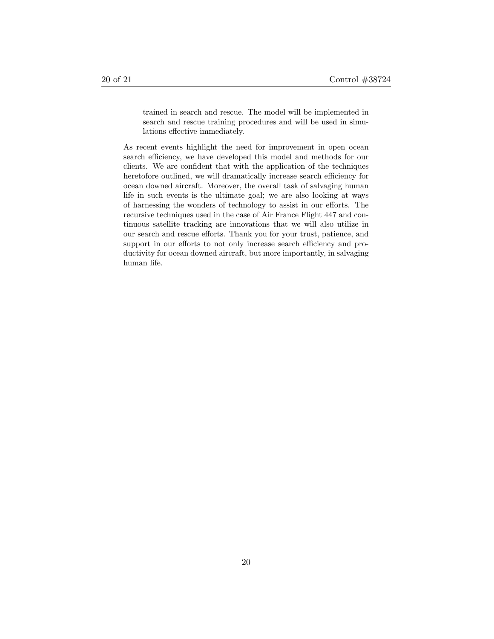trained in search and rescue. The model will be implemented in search and rescue training procedures and will be used in simulations effective immediately.

As recent events highlight the need for improvement in open ocean search efficiency, we have developed this model and methods for our clients. We are confident that with the application of the techniques heretofore outlined, we will dramatically increase search efficiency for ocean downed aircraft. Moreover, the overall task of salvaging human life in such events is the ultimate goal; we are also looking at ways of harnessing the wonders of technology to assist in our efforts. The recursive techniques used in the case of Air France Flight 447 and continuous satellite tracking are innovations that we will also utilize in our search and rescue efforts. Thank you for your trust, patience, and support in our efforts to not only increase search efficiency and productivity for ocean downed aircraft, but more importantly, in salvaging human life.